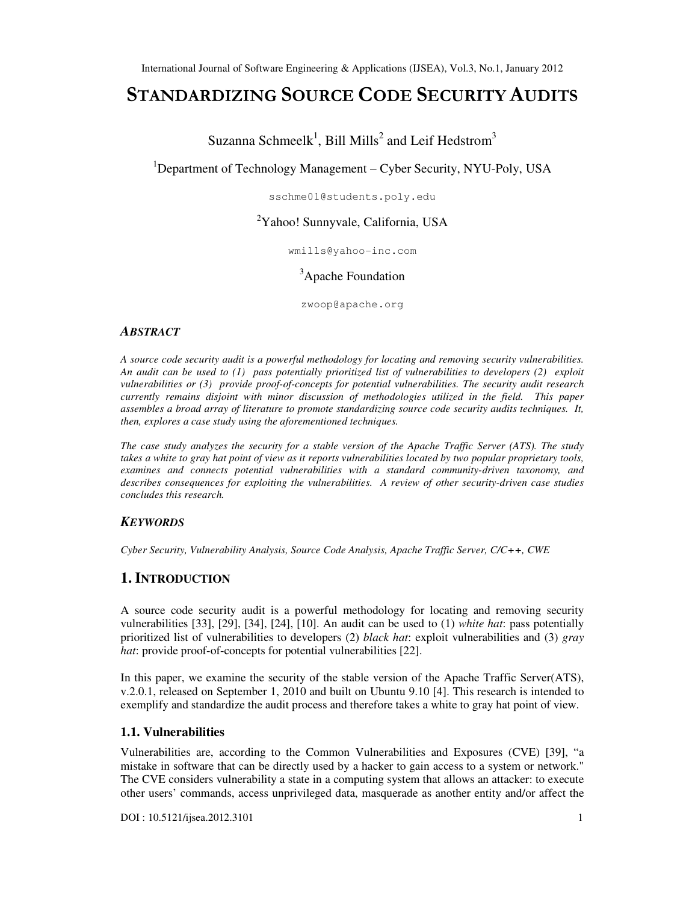# STANDARDIZING SOURCE CODE SECURITY AUDITS

Suzanna Schmeelk<sup>1</sup>, Bill Mills<sup>2</sup> and Leif Hedstrom<sup>3</sup>

<sup>1</sup>Department of Technology Management – Cyber Security, NYU-Poly, USA

sschme01@students.poly.edu

# <sup>2</sup>Yahoo! Sunnyvale, California, USA

wmills@yahoo-inc.com

<sup>3</sup>Apache Foundation

zwoop@apache.org

#### *ABSTRACT*

*A source code security audit is a powerful methodology for locating and removing security vulnerabilities. An audit can be used to (1) pass potentially prioritized list of vulnerabilities to developers (2) exploit vulnerabilities or (3) provide proof-of-concepts for potential vulnerabilities. The security audit research currently remains disjoint with minor discussion of methodologies utilized in the field. This paper assembles a broad array of literature to promote standardizing source code security audits techniques. It, then, explores a case study using the aforementioned techniques.* 

*The case study analyzes the security for a stable version of the Apache Traffic Server (ATS). The study*  takes a white to gray hat point of view as it reports vulnerabilities located by two popular proprietary tools, *examines and connects potential vulnerabilities with a standard community-driven taxonomy, and describes consequences for exploiting the vulnerabilities. A review of other security-driven case studies concludes this research.* 

## *KEYWORDS*

*Cyber Security, Vulnerability Analysis, Source Code Analysis, Apache Traffic Server, C/C++, CWE* 

# **1. INTRODUCTION**

A source code security audit is a powerful methodology for locating and removing security vulnerabilities [33], [29], [34], [24], [10]. An audit can be used to (1) *white hat*: pass potentially prioritized list of vulnerabilities to developers (2) *black hat*: exploit vulnerabilities and (3) *gray hat*: provide proof-of-concepts for potential vulnerabilities [22].

In this paper, we examine the security of the stable version of the Apache Traffic Server(ATS), v.2.0.1, released on September 1, 2010 and built on Ubuntu 9.10 [4]. This research is intended to exemplify and standardize the audit process and therefore takes a white to gray hat point of view.

#### **1.1. Vulnerabilities**

Vulnerabilities are, according to the Common Vulnerabilities and Exposures (CVE) [39], "a mistake in software that can be directly used by a hacker to gain access to a system or network." The CVE considers vulnerability a state in a computing system that allows an attacker: to execute other users' commands, access unprivileged data, masquerade as another entity and/or affect the

DOI : 10.5121/ijsea.2012.3101 1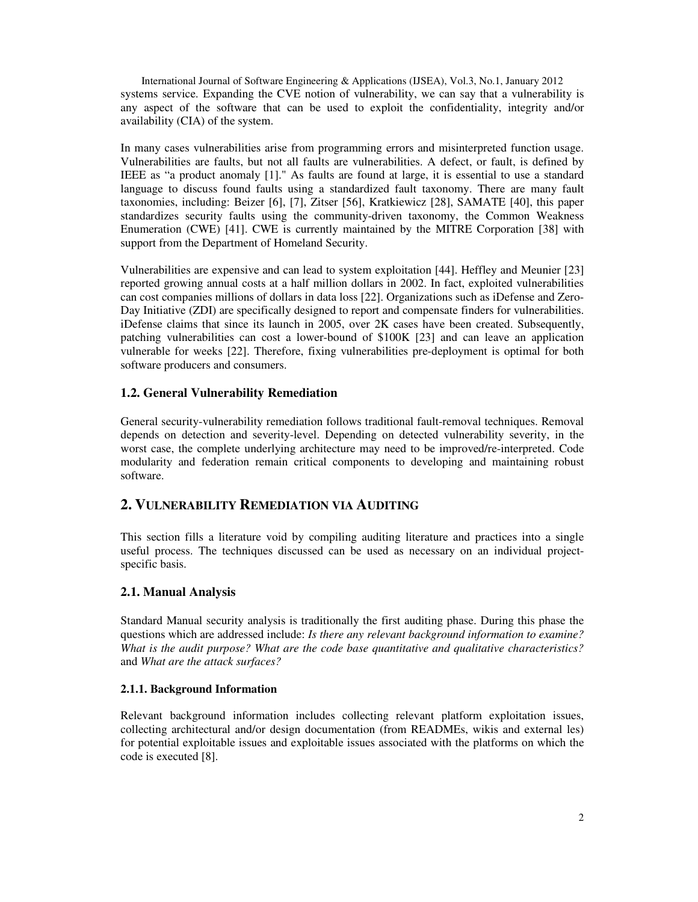International Journal of Software Engineering & Applications (IJSEA), Vol.3, No.1, January 2012 systems service. Expanding the CVE notion of vulnerability, we can say that a vulnerability is any aspect of the software that can be used to exploit the confidentiality, integrity and/or availability (CIA) of the system.

In many cases vulnerabilities arise from programming errors and misinterpreted function usage. Vulnerabilities are faults, but not all faults are vulnerabilities. A defect, or fault, is defined by IEEE as "a product anomaly [1]." As faults are found at large, it is essential to use a standard language to discuss found faults using a standardized fault taxonomy. There are many fault taxonomies, including: Beizer [6], [7], Zitser [56], Kratkiewicz [28], SAMATE [40], this paper standardizes security faults using the community-driven taxonomy, the Common Weakness Enumeration (CWE) [41]. CWE is currently maintained by the MITRE Corporation [38] with support from the Department of Homeland Security.

Vulnerabilities are expensive and can lead to system exploitation [44]. Heffley and Meunier [23] reported growing annual costs at a half million dollars in 2002. In fact, exploited vulnerabilities can cost companies millions of dollars in data loss [22]. Organizations such as iDefense and Zero-Day Initiative (ZDI) are specifically designed to report and compensate finders for vulnerabilities. iDefense claims that since its launch in 2005, over 2K cases have been created. Subsequently, patching vulnerabilities can cost a lower-bound of \$100K [23] and can leave an application vulnerable for weeks [22]. Therefore, fixing vulnerabilities pre-deployment is optimal for both software producers and consumers.

## **1.2. General Vulnerability Remediation**

General security-vulnerability remediation follows traditional fault-removal techniques. Removal depends on detection and severity-level. Depending on detected vulnerability severity, in the worst case, the complete underlying architecture may need to be improved/re-interpreted. Code modularity and federation remain critical components to developing and maintaining robust software.

## **2. VULNERABILITY REMEDIATION VIA AUDITING**

This section fills a literature void by compiling auditing literature and practices into a single useful process. The techniques discussed can be used as necessary on an individual projectspecific basis.

## **2.1. Manual Analysis**

Standard Manual security analysis is traditionally the first auditing phase. During this phase the questions which are addressed include: *Is there any relevant background information to examine? What is the audit purpose? What are the code base quantitative and qualitative characteristics?* and *What are the attack surfaces?* 

#### **2.1.1. Background Information**

Relevant background information includes collecting relevant platform exploitation issues, collecting architectural and/or design documentation (from READMEs, wikis and external les) for potential exploitable issues and exploitable issues associated with the platforms on which the code is executed [8].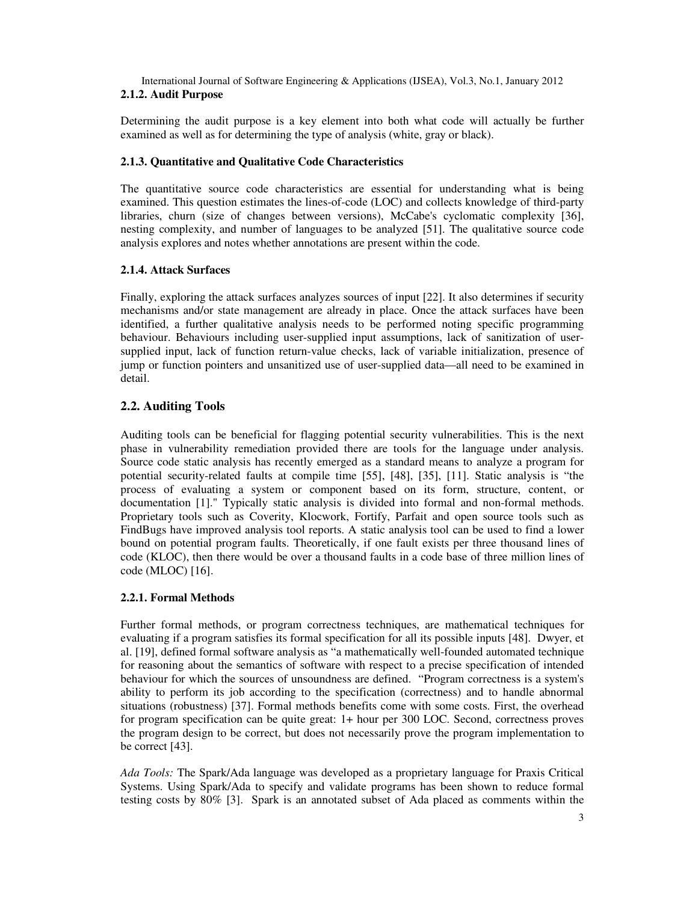## **2.1.2. Audit Purpose**

Determining the audit purpose is a key element into both what code will actually be further examined as well as for determining the type of analysis (white, gray or black).

## **2.1.3. Quantitative and Qualitative Code Characteristics**

The quantitative source code characteristics are essential for understanding what is being examined. This question estimates the lines-of-code (LOC) and collects knowledge of third-party libraries, churn (size of changes between versions), McCabe's cyclomatic complexity [36], nesting complexity, and number of languages to be analyzed [51]. The qualitative source code analysis explores and notes whether annotations are present within the code.

## **2.1.4. Attack Surfaces**

Finally, exploring the attack surfaces analyzes sources of input [22]. It also determines if security mechanisms and/or state management are already in place. Once the attack surfaces have been identified, a further qualitative analysis needs to be performed noting specific programming behaviour. Behaviours including user-supplied input assumptions, lack of sanitization of usersupplied input, lack of function return-value checks, lack of variable initialization, presence of jump or function pointers and unsanitized use of user-supplied data—all need to be examined in detail.

# **2.2. Auditing Tools**

Auditing tools can be beneficial for flagging potential security vulnerabilities. This is the next phase in vulnerability remediation provided there are tools for the language under analysis. Source code static analysis has recently emerged as a standard means to analyze a program for potential security-related faults at compile time [55], [48], [35], [11]. Static analysis is "the process of evaluating a system or component based on its form, structure, content, or documentation [1]." Typically static analysis is divided into formal and non-formal methods. Proprietary tools such as Coverity, Klocwork, Fortify, Parfait and open source tools such as FindBugs have improved analysis tool reports. A static analysis tool can be used to find a lower bound on potential program faults. Theoretically, if one fault exists per three thousand lines of code (KLOC), then there would be over a thousand faults in a code base of three million lines of code (MLOC) [16].

## **2.2.1. Formal Methods**

Further formal methods, or program correctness techniques, are mathematical techniques for evaluating if a program satisfies its formal specification for all its possible inputs [48]. Dwyer, et al. [19], defined formal software analysis as "a mathematically well-founded automated technique for reasoning about the semantics of software with respect to a precise specification of intended behaviour for which the sources of unsoundness are defined. "Program correctness is a system's ability to perform its job according to the specification (correctness) and to handle abnormal situations (robustness) [37]. Formal methods benefits come with some costs. First, the overhead for program specification can be quite great: 1+ hour per 300 LOC. Second, correctness proves the program design to be correct, but does not necessarily prove the program implementation to be correct [43].

*Ada Tools:* The Spark/Ada language was developed as a proprietary language for Praxis Critical Systems. Using Spark/Ada to specify and validate programs has been shown to reduce formal testing costs by 80% [3]. Spark is an annotated subset of Ada placed as comments within the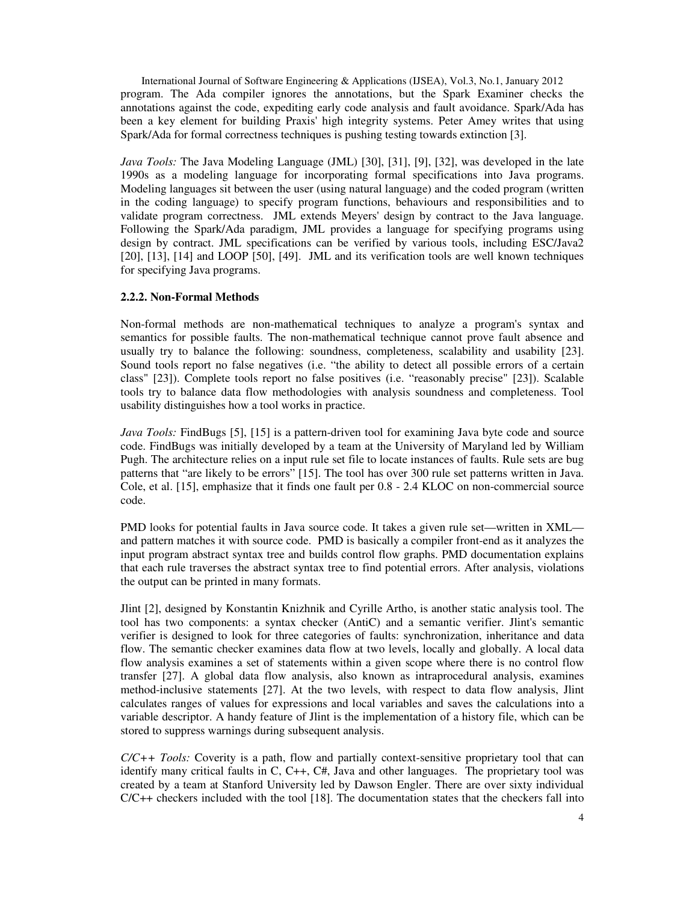International Journal of Software Engineering & Applications (IJSEA), Vol.3, No.1, January 2012 program. The Ada compiler ignores the annotations, but the Spark Examiner checks the annotations against the code, expediting early code analysis and fault avoidance. Spark/Ada has been a key element for building Praxis' high integrity systems. Peter Amey writes that using Spark/Ada for formal correctness techniques is pushing testing towards extinction [3].

*Java Tools:* The Java Modeling Language (JML) [30], [31], [9], [32], was developed in the late 1990s as a modeling language for incorporating formal specifications into Java programs. Modeling languages sit between the user (using natural language) and the coded program (written in the coding language) to specify program functions, behaviours and responsibilities and to validate program correctness. JML extends Meyers' design by contract to the Java language. Following the Spark/Ada paradigm, JML provides a language for specifying programs using design by contract. JML specifications can be verified by various tools, including ESC/Java2 [20], [13], [14] and LOOP [50], [49]. JML and its verification tools are well known techniques for specifying Java programs.

#### **2.2.2. Non-Formal Methods**

Non-formal methods are non-mathematical techniques to analyze a program's syntax and semantics for possible faults. The non-mathematical technique cannot prove fault absence and usually try to balance the following: soundness, completeness, scalability and usability [23]. Sound tools report no false negatives (i.e. "the ability to detect all possible errors of a certain class" [23]). Complete tools report no false positives (i.e. "reasonably precise" [23]). Scalable tools try to balance data flow methodologies with analysis soundness and completeness. Tool usability distinguishes how a tool works in practice.

*Java Tools:* FindBugs [5], [15] is a pattern-driven tool for examining Java byte code and source code. FindBugs was initially developed by a team at the University of Maryland led by William Pugh. The architecture relies on a input rule set file to locate instances of faults. Rule sets are bug patterns that "are likely to be errors" [15]. The tool has over 300 rule set patterns written in Java. Cole, et al. [15], emphasize that it finds one fault per 0.8 - 2.4 KLOC on non-commercial source code.

PMD looks for potential faults in Java source code. It takes a given rule set—written in XML and pattern matches it with source code. PMD is basically a compiler front-end as it analyzes the input program abstract syntax tree and builds control flow graphs. PMD documentation explains that each rule traverses the abstract syntax tree to find potential errors. After analysis, violations the output can be printed in many formats.

Jlint [2], designed by Konstantin Knizhnik and Cyrille Artho, is another static analysis tool. The tool has two components: a syntax checker (AntiC) and a semantic verifier. Jlint's semantic verifier is designed to look for three categories of faults: synchronization, inheritance and data flow. The semantic checker examines data flow at two levels, locally and globally. A local data flow analysis examines a set of statements within a given scope where there is no control flow transfer [27]. A global data flow analysis, also known as intraprocedural analysis, examines method-inclusive statements [27]. At the two levels, with respect to data flow analysis, Jlint calculates ranges of values for expressions and local variables and saves the calculations into a variable descriptor. A handy feature of Jlint is the implementation of a history file, which can be stored to suppress warnings during subsequent analysis.

*C/C++ Tools:* Coverity is a path, flow and partially context-sensitive proprietary tool that can identify many critical faults in C, C++, C#, Java and other languages. The proprietary tool was created by a team at Stanford University led by Dawson Engler. There are over sixty individual  $C/C++$  checkers included with the tool [18]. The documentation states that the checkers fall into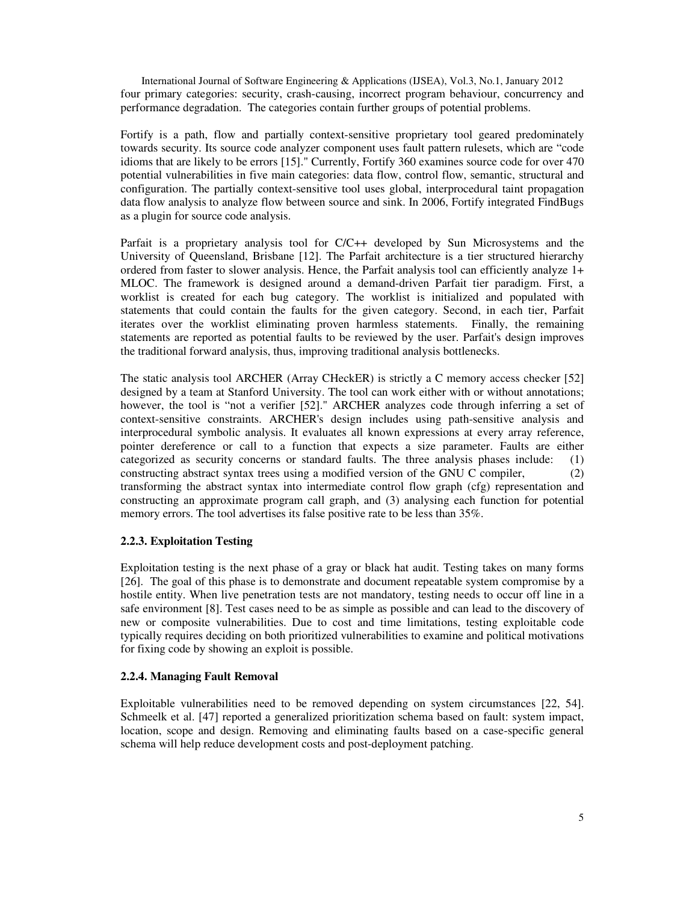International Journal of Software Engineering & Applications (IJSEA), Vol.3, No.1, January 2012 four primary categories: security, crash-causing, incorrect program behaviour, concurrency and performance degradation. The categories contain further groups of potential problems.

Fortify is a path, flow and partially context-sensitive proprietary tool geared predominately towards security. Its source code analyzer component uses fault pattern rulesets, which are "code idioms that are likely to be errors [15]." Currently, Fortify 360 examines source code for over 470 potential vulnerabilities in five main categories: data flow, control flow, semantic, structural and configuration. The partially context-sensitive tool uses global, interprocedural taint propagation data flow analysis to analyze flow between source and sink. In 2006, Fortify integrated FindBugs as a plugin for source code analysis.

Parfait is a proprietary analysis tool for C/C++ developed by Sun Microsystems and the University of Queensland, Brisbane [12]. The Parfait architecture is a tier structured hierarchy ordered from faster to slower analysis. Hence, the Parfait analysis tool can efficiently analyze 1+ MLOC. The framework is designed around a demand-driven Parfait tier paradigm. First, a worklist is created for each bug category. The worklist is initialized and populated with statements that could contain the faults for the given category. Second, in each tier, Parfait iterates over the worklist eliminating proven harmless statements. Finally, the remaining statements are reported as potential faults to be reviewed by the user. Parfait's design improves the traditional forward analysis, thus, improving traditional analysis bottlenecks.

The static analysis tool ARCHER (Array CHeckER) is strictly a C memory access checker [52] designed by a team at Stanford University. The tool can work either with or without annotations; however, the tool is "not a verifier [52]." ARCHER analyzes code through inferring a set of context-sensitive constraints. ARCHER's design includes using path-sensitive analysis and interprocedural symbolic analysis. It evaluates all known expressions at every array reference, pointer dereference or call to a function that expects a size parameter. Faults are either categorized as security concerns or standard faults. The three analysis phases include: (1) constructing abstract syntax trees using a modified version of the GNU C compiler, (2) transforming the abstract syntax into intermediate control flow graph (cfg) representation and constructing an approximate program call graph, and (3) analysing each function for potential memory errors. The tool advertises its false positive rate to be less than 35%.

#### **2.2.3. Exploitation Testing**

Exploitation testing is the next phase of a gray or black hat audit. Testing takes on many forms [26]. The goal of this phase is to demonstrate and document repeatable system compromise by a hostile entity. When live penetration tests are not mandatory, testing needs to occur off line in a safe environment [8]. Test cases need to be as simple as possible and can lead to the discovery of new or composite vulnerabilities. Due to cost and time limitations, testing exploitable code typically requires deciding on both prioritized vulnerabilities to examine and political motivations for fixing code by showing an exploit is possible.

#### **2.2.4. Managing Fault Removal**

Exploitable vulnerabilities need to be removed depending on system circumstances [22, 54]. Schmeelk et al. [47] reported a generalized prioritization schema based on fault: system impact, location, scope and design. Removing and eliminating faults based on a case-specific general schema will help reduce development costs and post-deployment patching.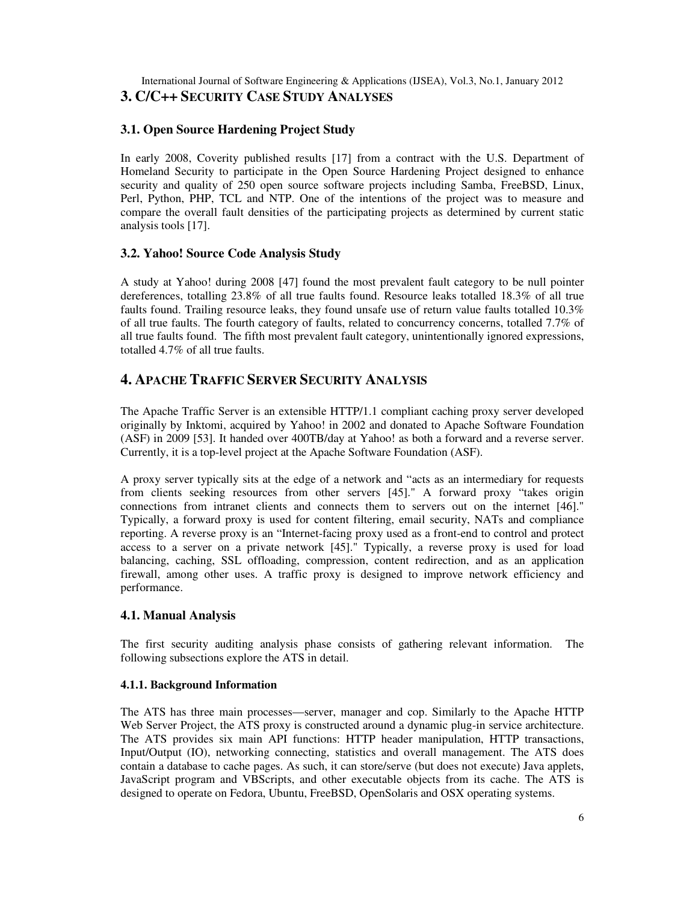## International Journal of Software Engineering & Applications (IJSEA), Vol.3, No.1, January 2012 **3. C/C++ SECURITY CASE STUDY ANALYSES**

## **3.1. Open Source Hardening Project Study**

In early 2008, Coverity published results [17] from a contract with the U.S. Department of Homeland Security to participate in the Open Source Hardening Project designed to enhance security and quality of 250 open source software projects including Samba, FreeBSD, Linux, Perl, Python, PHP, TCL and NTP. One of the intentions of the project was to measure and compare the overall fault densities of the participating projects as determined by current static analysis tools [17].

## **3.2. Yahoo! Source Code Analysis Study**

A study at Yahoo! during 2008 [47] found the most prevalent fault category to be null pointer dereferences, totalling 23.8% of all true faults found. Resource leaks totalled 18.3% of all true faults found. Trailing resource leaks, they found unsafe use of return value faults totalled 10.3% of all true faults. The fourth category of faults, related to concurrency concerns, totalled 7.7% of all true faults found. The fifth most prevalent fault category, unintentionally ignored expressions, totalled 4.7% of all true faults.

# **4. APACHE TRAFFIC SERVER SECURITY ANALYSIS**

The Apache Traffic Server is an extensible HTTP/1.1 compliant caching proxy server developed originally by Inktomi, acquired by Yahoo! in 2002 and donated to Apache Software Foundation (ASF) in 2009 [53]. It handed over 400TB/day at Yahoo! as both a forward and a reverse server. Currently, it is a top-level project at the Apache Software Foundation (ASF).

A proxy server typically sits at the edge of a network and "acts as an intermediary for requests from clients seeking resources from other servers [45]." A forward proxy "takes origin connections from intranet clients and connects them to servers out on the internet [46]." Typically, a forward proxy is used for content filtering, email security, NATs and compliance reporting. A reverse proxy is an "Internet-facing proxy used as a front-end to control and protect access to a server on a private network [45]." Typically, a reverse proxy is used for load balancing, caching, SSL offloading, compression, content redirection, and as an application firewall, among other uses. A traffic proxy is designed to improve network efficiency and performance.

## **4.1. Manual Analysis**

The first security auditing analysis phase consists of gathering relevant information. The following subsections explore the ATS in detail.

## **4.1.1. Background Information**

The ATS has three main processes—server, manager and cop. Similarly to the Apache HTTP Web Server Project, the ATS proxy is constructed around a dynamic plug-in service architecture. The ATS provides six main API functions: HTTP header manipulation, HTTP transactions, Input/Output (IO), networking connecting, statistics and overall management. The ATS does contain a database to cache pages. As such, it can store/serve (but does not execute) Java applets, JavaScript program and VBScripts, and other executable objects from its cache. The ATS is designed to operate on Fedora, Ubuntu, FreeBSD, OpenSolaris and OSX operating systems.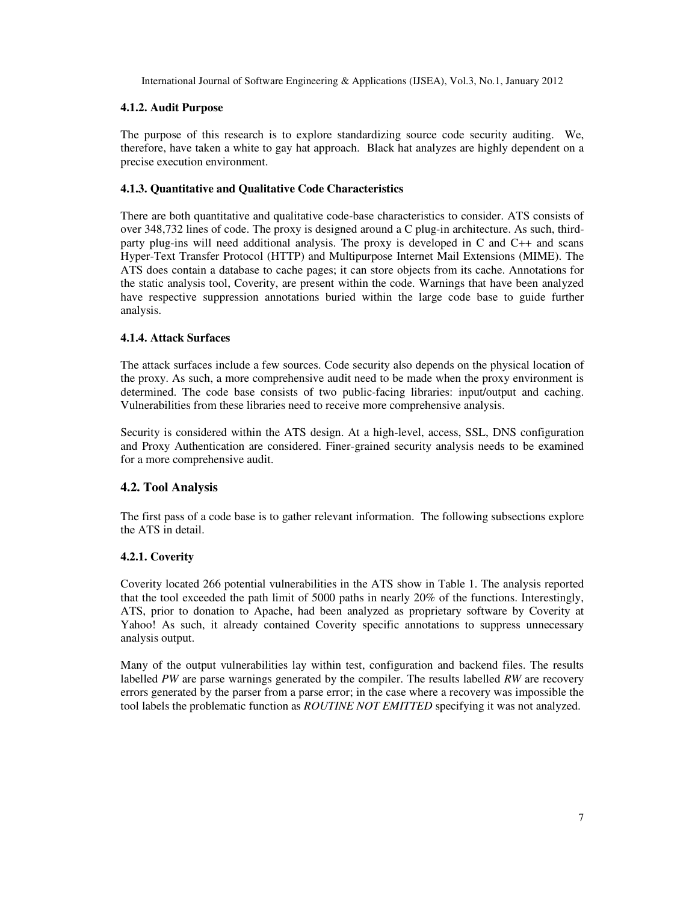#### **4.1.2. Audit Purpose**

The purpose of this research is to explore standardizing source code security auditing. We, therefore, have taken a white to gay hat approach. Black hat analyzes are highly dependent on a precise execution environment.

### **4.1.3. Quantitative and Qualitative Code Characteristics**

There are both quantitative and qualitative code-base characteristics to consider. ATS consists of over 348,732 lines of code. The proxy is designed around a C plug-in architecture. As such, thirdparty plug-ins will need additional analysis. The proxy is developed in C and C++ and scans Hyper-Text Transfer Protocol (HTTP) and Multipurpose Internet Mail Extensions (MIME). The ATS does contain a database to cache pages; it can store objects from its cache. Annotations for the static analysis tool, Coverity, are present within the code. Warnings that have been analyzed have respective suppression annotations buried within the large code base to guide further analysis.

#### **4.1.4. Attack Surfaces**

The attack surfaces include a few sources. Code security also depends on the physical location of the proxy. As such, a more comprehensive audit need to be made when the proxy environment is determined. The code base consists of two public-facing libraries: input/output and caching. Vulnerabilities from these libraries need to receive more comprehensive analysis.

Security is considered within the ATS design. At a high-level, access, SSL, DNS configuration and Proxy Authentication are considered. Finer-grained security analysis needs to be examined for a more comprehensive audit.

## **4.2. Tool Analysis**

The first pass of a code base is to gather relevant information. The following subsections explore the ATS in detail.

## **4.2.1. Coverity**

Coverity located 266 potential vulnerabilities in the ATS show in Table 1. The analysis reported that the tool exceeded the path limit of 5000 paths in nearly 20% of the functions. Interestingly, ATS, prior to donation to Apache, had been analyzed as proprietary software by Coverity at Yahoo! As such, it already contained Coverity specific annotations to suppress unnecessary analysis output.

Many of the output vulnerabilities lay within test, configuration and backend files. The results labelled *PW* are parse warnings generated by the compiler. The results labelled *RW* are recovery errors generated by the parser from a parse error; in the case where a recovery was impossible the tool labels the problematic function as *ROUTINE NOT EMITTED* specifying it was not analyzed.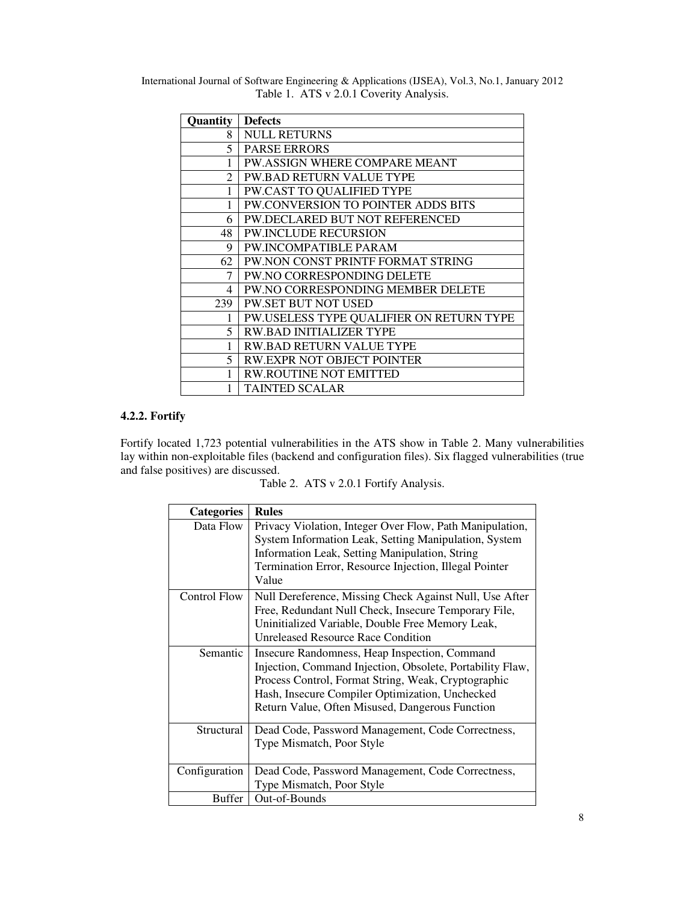International Journal of Software Engineering & Applications (IJSEA), Vol.3, No.1, January 2012 Table 1. ATS v 2.0.1 Coverity Analysis.

| Quantity       | <b>Defects</b>                           |
|----------------|------------------------------------------|
| 8              | <b>NULL RETURNS</b>                      |
| 5.             | <b>PARSE ERRORS</b>                      |
|                | PW.ASSIGN WHERE COMPARE MEANT            |
| $\mathfrak{D}$ | <b>PW.BAD RETURN VALUE TYPE</b>          |
| 1              | PW.CAST TO QUALIFIED TYPE                |
| 1              | PW.CONVERSION TO POINTER ADDS BITS       |
| 6              | PW.DECLARED BUT NOT REFERENCED           |
| 48             | <b>PW.INCLUDE RECURSION</b>              |
| 9              | <b>PW.INCOMPATIBLE PARAM</b>             |
| 62             | PW.NON CONST PRINTF FORMAT STRING        |
| 7              | PW.NO CORRESPONDING DELETE               |
| 4              | PW.NO CORRESPONDING MEMBER DELETE        |
| 239            | <b>PW.SET BUT NOT USED</b>               |
| 1              | PW.USELESS TYPE QUALIFIER ON RETURN TYPE |
| 5.             | <b>RW.BAD INITIALIZER TYPE</b>           |
|                | <b>RW.BAD RETURN VALUE TYPE</b>          |
| 5              | RW.EXPR NOT OBJECT POINTER               |
| 1              | <b>RW.ROUTINE NOT EMITTED</b>            |
|                | TAINTED SCALAR                           |

#### **4.2.2. Fortify**

Fortify located 1,723 potential vulnerabilities in the ATS show in Table 2. Many vulnerabilities lay within non-exploitable files (backend and configuration files). Six flagged vulnerabilities (true and false positives) are discussed.

Table 2. ATS v 2.0.1 Fortify Analysis.

| <b>Categories</b> | <b>Rules</b>                                                                                                                                                                                                                                                            |
|-------------------|-------------------------------------------------------------------------------------------------------------------------------------------------------------------------------------------------------------------------------------------------------------------------|
| Data Flow         | Privacy Violation, Integer Over Flow, Path Manipulation,<br>System Information Leak, Setting Manipulation, System<br>Information Leak, Setting Manipulation, String<br>Termination Error, Resource Injection, Illegal Pointer<br>Value                                  |
| Control Flow      | Null Dereference, Missing Check Against Null, Use After<br>Free, Redundant Null Check, Insecure Temporary File,<br>Uninitialized Variable, Double Free Memory Leak,<br><b>Unreleased Resource Race Condition</b>                                                        |
| Semantic          | Insecure Randomness, Heap Inspection, Command<br>Injection, Command Injection, Obsolete, Portability Flaw,<br>Process Control, Format String, Weak, Cryptographic<br>Hash, Insecure Compiler Optimization, Unchecked<br>Return Value, Often Misused, Dangerous Function |
| Structural        | Dead Code, Password Management, Code Correctness,<br>Type Mismatch, Poor Style                                                                                                                                                                                          |
| Configuration     | Dead Code, Password Management, Code Correctness,<br>Type Mismatch, Poor Style                                                                                                                                                                                          |
| Buffer            | Out-of-Bounds                                                                                                                                                                                                                                                           |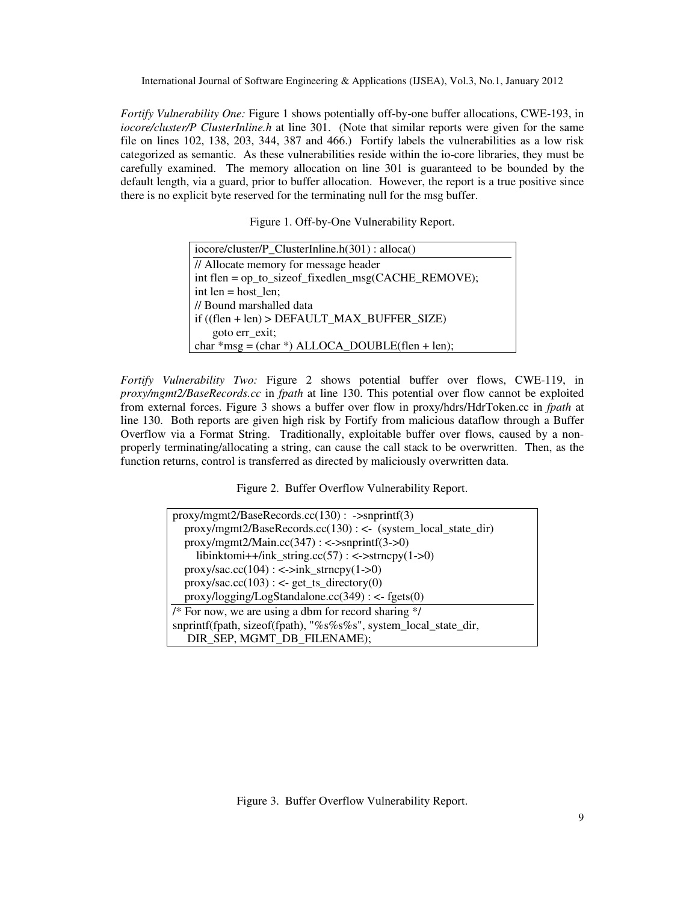*Fortify Vulnerability One:* Figure 1 shows potentially off-by-one buffer allocations, CWE-193, in *iocore/cluster/P ClusterInline.h* at line 301. (Note that similar reports were given for the same file on lines 102, 138, 203, 344, 387 and 466.) Fortify labels the vulnerabilities as a low risk categorized as semantic. As these vulnerabilities reside within the io-core libraries, they must be carefully examined. The memory allocation on line 301 is guaranteed to be bounded by the default length, via a guard, prior to buffer allocation. However, the report is a true positive since there is no explicit byte reserved for the terminating null for the msg buffer.

Figure 1. Off-by-One Vulnerability Report.

| iocore/cluster/P_ClusterInline.h(301): alloca()       |  |
|-------------------------------------------------------|--|
| // Allocate memory for message header                 |  |
| int flen = op_to_sizeof_fixedlen_msg(CACHE_REMOVE);   |  |
| int $len = host len$ ;                                |  |
| // Bound marshalled data                              |  |
| $if ((then + len) > DEFAULT_MAX_BUFFER_SIZE)$         |  |
| goto err_exit;                                        |  |
| char $*$ msg = (char $*$ ) ALLOCA_DOUBLE(flen + len); |  |

*Fortify Vulnerability Two:* Figure 2 shows potential buffer over flows, CWE-119, in *proxy/mgmt2/BaseRecords.cc* in *fpath* at line 130. This potential over flow cannot be exploited from external forces. Figure 3 shows a buffer over flow in proxy/hdrs/HdrToken.cc in *fpath* at line 130. Both reports are given high risk by Fortify from malicious dataflow through a Buffer Overflow via a Format String. Traditionally, exploitable buffer over flows, caused by a nonproperly terminating/allocating a string, can cause the call stack to be overwritten. Then, as the function returns, control is transferred as directed by maliciously overwritten data.

Figure 2. Buffer Overflow Vulnerability Report.

| $prox_y/mgmt2/Base Records.$ cc(130): ->snprintf(3)              |
|------------------------------------------------------------------|
| proxy/mgmt2/BaseRecords.cc(130): <- (system_local_state_dir)     |
| $prox/mgmt2/Main.cc(347)$ : <->snprintf(3->0)                    |
| libinktomi++/ink_string.cc(57): <->strncpy(1->0)                 |
| $prox y / sac.cc(104)$ : <->ink_strncpy(1->0)                    |
| $prox y / sac. cc(103)$ : <- get_ts_directory(0)                 |
| $proxyllogging/LogStandalone. cc(349)$ : <- fgets(0)             |
| /* For now, we are using a dbm for record sharing $\frac{k}{r}$  |
| snprintf(fpath, sizeof(fpath), "%s%s%s", system_local_state_dir, |
| DIR_SEP, MGMT_DB_FILENAME);                                      |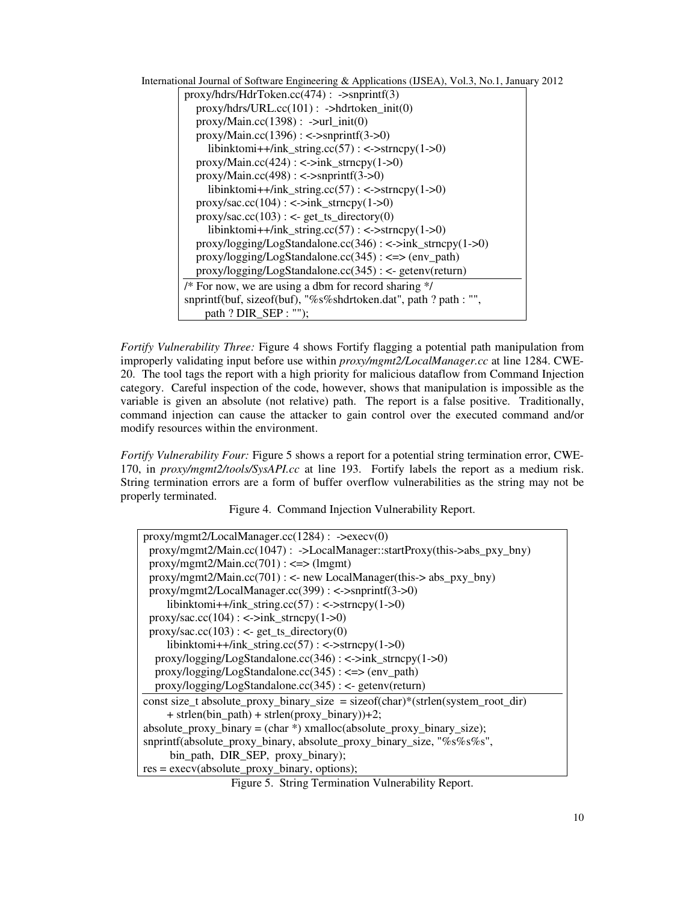|  |  | International Journal of Software Engineering & Applications (IJSEA), Vol.3, No.1, January 2012 |  |  |
|--|--|-------------------------------------------------------------------------------------------------|--|--|
|  |  |                                                                                                 |  |  |

| $proxy/hdrs/HdrToken.cc(474)$ : ->snprintf(3)                    |
|------------------------------------------------------------------|
| $proxy/hdrs/URL.cc(101)$ : ->hdrtoken_init(0)                    |
| $proxy/Main.cc(1398)$ : ->url_init(0)                            |
| $proxy/Main.cc(1396)$ : <->snprintf(3->0)                        |
| libinktomi++/ink_string.cc(57): $\langle$ ->strncpy(1->0)        |
| $proxy/Main.cc(424)$ : <-> $ink_strncpy(1->0)$                   |
| $proxy/Main.cc(498)$ : <->snprintf(3->0)                         |
| libinktomi++/ink_string.cc(57): <->strncpy(1->0)                 |
| $prox y / sac.cc(104)$ : <->ink_strncpy(1->0)                    |
| $prox y / sac. cc(103)$ : <- get_ts_directory(0)                 |
| libinktomi++/ink_string.cc(57): <->strncpy(1->0)                 |
| $proxylo$ gging/LogStandalone.cc(346): <->ink_strncpy(1->0)      |
| $prox//logging/LogStandalone.cc(345): \leq \geq (env-path)$      |
| proxy/logging/LogStandalone.cc(345) : <- getenv(return)          |
| /* For now, we are using a dbm for record sharing $\frac{k}{r}$  |
| snprintf(buf, sizeof(buf), "%s%shdrtoken.dat", path ? path : "", |
| path $?$ DIR SEP : "");                                          |

*Fortify Vulnerability Three:* Figure 4 shows Fortify flagging a potential path manipulation from improperly validating input before use within *proxy/mgmt2/LocalManager.cc* at line 1284. CWE-20. The tool tags the report with a high priority for malicious dataflow from Command Injection category. Careful inspection of the code, however, shows that manipulation is impossible as the variable is given an absolute (not relative) path. The report is a false positive. Traditionally, command injection can cause the attacker to gain control over the executed command and/or modify resources within the environment.

*Fortify Vulnerability Four:* Figure 5 shows a report for a potential string termination error, CWE-170, in *proxy/mgmt2/tools/SysAPI.cc* at line 193. Fortify labels the report as a medium risk. String termination errors are a form of buffer overflow vulnerabilities as the string may not be properly terminated.

Figure 4. Command Injection Vulnerability Report.

| $proxymgmt2/LocalManager.cc(1284)$ : ->execv(0)                                       |
|---------------------------------------------------------------------------------------|
| $prox(y/mgmt2/Main.cc(1047))$ : ->LocalManager::startProxy(this->abs_pxy_bny)         |
| $prox_y/mgmt2/Main.cc(701)$ : <=> (lmgmt)                                             |
| $prox_y/mgmt2/Main.cc(701)$ : <- new LocalManager(this-> abs_pxy_bny)                 |
| $prox_y/mgmt2/LocalManager.cc(399)$ : <->snprintf(3->0)                               |
| libinktomi++/ink_string.cc(57): $\langle$ ->strncpy(1->0)                             |
| $prox y / sac. cc(104)$ : <->ink_strncpy(1->0)                                        |
| $prox y / sac. cc(103)$ : <- get_ts_directory(0)                                      |
| libinktomi++/ink_string.cc(57): $\langle$ ->strncpy(1->0)                             |
| proxy/logging/LogStandalone.cc(346): <->ink_strncpy(1->0)                             |
| $proxylo$ gging/LogStandalone.cc(345): <=> (env_path)                                 |
| $proxy/logging/LogStandalone. cc(345)$ : <- getenv(return)                            |
| const size_t absolute_proxy_binary_size = size of $(char)*(strlen(system-root\_dir))$ |
| $+$ strlen(bin_path) + strlen(proxy_binary))+2;                                       |
| $absolute\_proxy\_binary = (char * ) \ xmalloc(absolute\_proxy\_binary\_size);$       |
| snprintf(absolute_proxy_binary, absolute_proxy_binary_size, "%s%s%s",                 |
| bin_path, DIR_SEP, proxy_binary);                                                     |
| $res = execv(absolute\_proxy_binary, options);$                                       |
|                                                                                       |

Figure 5. String Termination Vulnerability Report.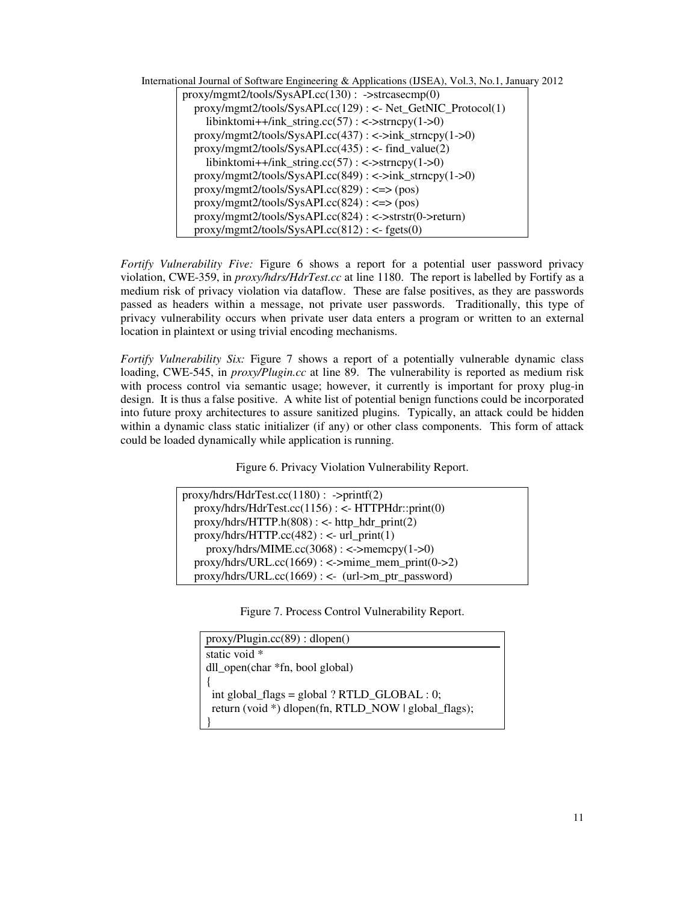| International Journal of Software Engineering & Applications (IJSEA), Vol.3, No.1, January 2012 |  |
|-------------------------------------------------------------------------------------------------|--|
| $prox_y/mgmt2/tools/SysAPI.cc(130)$ : ->strcasecmp(0)                                           |  |
| proxy/mgmt2/tools/SysAPI.cc(129): <- Net_GetNIC_Protocol(1)                                     |  |
| libinktomi++/ink_string.cc(57): <->strncpy(1->0)                                                |  |
| $proxy/mgmt2/tools/SysAPI.cc(437): \langle -\rangle ink\_strongy(1-\rangle 0)$                  |  |
| $proxy/mgmt2/tools/SysAPI.cc(435)$ : <- find_value(2)                                           |  |
| libinktomi++/ink_string.cc(57): <->strncpy(1->0)                                                |  |
| $prox_y/mgmt2/tools/SysAPI.cc(849)$ : <->ink_strncpy(1->0)                                      |  |
| $prox_y/mgmt2/tools/SysAPI.cc(829)$ : <=> (pos)                                                 |  |
| $prox_y/mgmt2/tools/SysAPI.cc(824): \leq \geq (pos)$                                            |  |
| $proxv/mgmt2/tools/SysAPI.cc(824): <$ >strstr(0->return)                                        |  |
| $prox/mgmt2/tools/SysAPI.cc(812)$ : <- fgets(0)                                                 |  |

*Fortify Vulnerability Five:* Figure 6 shows a report for a potential user password privacy violation, CWE-359, in *proxy/hdrs/HdrTest.cc* at line 1180. The report is labelled by Fortify as a medium risk of privacy violation via dataflow. These are false positives, as they are passwords passed as headers within a message, not private user passwords. Traditionally, this type of privacy vulnerability occurs when private user data enters a program or written to an external location in plaintext or using trivial encoding mechanisms.

*Fortify Vulnerability Six:* Figure 7 shows a report of a potentially vulnerable dynamic class loading, CWE-545, in *proxy/Plugin.cc* at line 89. The vulnerability is reported as medium risk with process control via semantic usage; however, it currently is important for proxy plug-in design. It is thus a false positive. A white list of potential benign functions could be incorporated into future proxy architectures to assure sanitized plugins. Typically, an attack could be hidden within a dynamic class static initializer (if any) or other class components. This form of attack could be loaded dynamically while application is running.

Figure 6. Privacy Violation Vulnerability Report.

| $prox\gamma/drs/HdrTest.cc(1180)$ : ->printf(2)                 |
|-----------------------------------------------------------------|
| proxy/hdrs/HdrTest.cc(1156): <- HTTPHdr::print(0)               |
| $prox\gamma/hdrs/HTTP.h(808)$ : <- http_hdr_print(2)            |
| $prox\gamma/drs/HTTP\ncc(482)$ : <- url_print(1)                |
| $prox\gamma/\text{hdrs}/\text{MIME}$ .cc(3068): <->memcpy(1->0) |
| $proxylhdrs/URL.cc(1669)$ : <->mime_mem_print(0->2)             |
| $prox\gamma/hdrs/URL.cc(1669)$ : <- (url->m_ptr_password)       |

Figure 7. Process Control Vulnerability Report.

| proxy/Playincc(89) : dlopen()                        |
|------------------------------------------------------|
| static void *                                        |
| dll_open(char *fn, bool global)                      |
|                                                      |
| int global_flags = global $?$ RTLD_GLOBAL : 0;       |
| return (void *) dlopen(fn, RTLD_NOW   global_flags); |
|                                                      |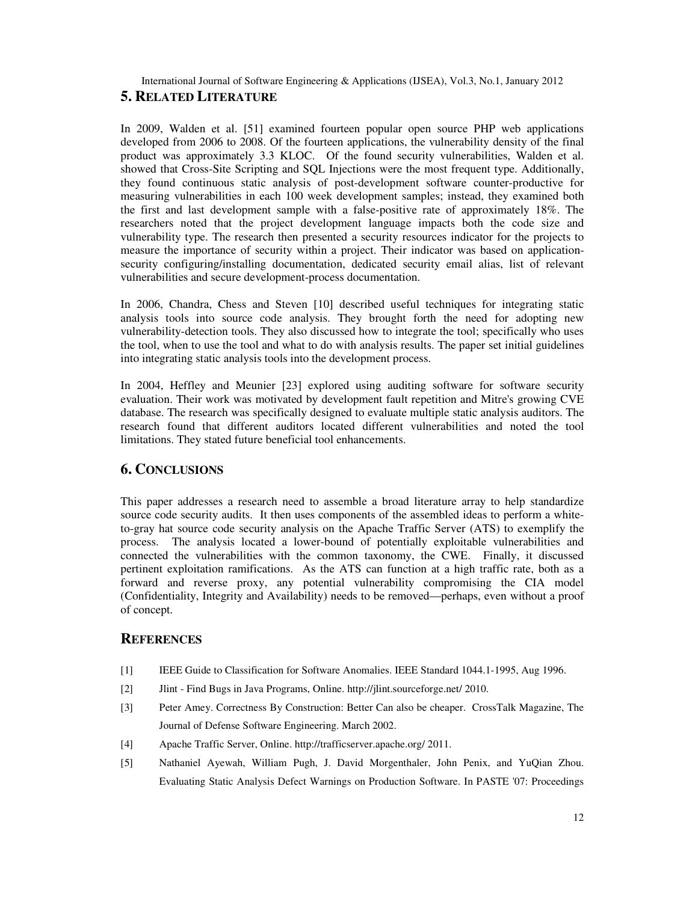International Journal of Software Engineering & Applications (IJSEA), Vol.3, No.1, January 2012 **5. RELATED LITERATURE**

In 2009, Walden et al. [51] examined fourteen popular open source PHP web applications developed from 2006 to 2008. Of the fourteen applications, the vulnerability density of the final product was approximately 3.3 KLOC. Of the found security vulnerabilities, Walden et al. showed that Cross-Site Scripting and SQL Injections were the most frequent type. Additionally, they found continuous static analysis of post-development software counter-productive for measuring vulnerabilities in each 100 week development samples; instead, they examined both the first and last development sample with a false-positive rate of approximately 18%. The researchers noted that the project development language impacts both the code size and vulnerability type. The research then presented a security resources indicator for the projects to measure the importance of security within a project. Their indicator was based on applicationsecurity configuring/installing documentation, dedicated security email alias, list of relevant vulnerabilities and secure development-process documentation.

In 2006, Chandra, Chess and Steven [10] described useful techniques for integrating static analysis tools into source code analysis. They brought forth the need for adopting new vulnerability-detection tools. They also discussed how to integrate the tool; specifically who uses the tool, when to use the tool and what to do with analysis results. The paper set initial guidelines into integrating static analysis tools into the development process.

In 2004, Heffley and Meunier [23] explored using auditing software for software security evaluation. Their work was motivated by development fault repetition and Mitre's growing CVE database. The research was specifically designed to evaluate multiple static analysis auditors. The research found that different auditors located different vulnerabilities and noted the tool limitations. They stated future beneficial tool enhancements.

## **6. CONCLUSIONS**

This paper addresses a research need to assemble a broad literature array to help standardize source code security audits. It then uses components of the assembled ideas to perform a whiteto-gray hat source code security analysis on the Apache Traffic Server (ATS) to exemplify the process. The analysis located a lower-bound of potentially exploitable vulnerabilities and connected the vulnerabilities with the common taxonomy, the CWE. Finally, it discussed pertinent exploitation ramifications. As the ATS can function at a high traffic rate, both as a forward and reverse proxy, any potential vulnerability compromising the CIA model (Confidentiality, Integrity and Availability) needs to be removed—perhaps, even without a proof of concept.

## **REFERENCES**

- [1] IEEE Guide to Classification for Software Anomalies. IEEE Standard 1044.1-1995, Aug 1996.
- [2] Jlint Find Bugs in Java Programs, Online. http://jlint.sourceforge.net/ 2010.
- [3] Peter Amey. Correctness By Construction: Better Can also be cheaper. CrossTalk Magazine, The Journal of Defense Software Engineering. March 2002.
- [4] Apache Traffic Server, Online. http://trafficserver.apache.org/ 2011.
- [5] Nathaniel Ayewah, William Pugh, J. David Morgenthaler, John Penix, and YuQian Zhou. Evaluating Static Analysis Defect Warnings on Production Software. In PASTE '07: Proceedings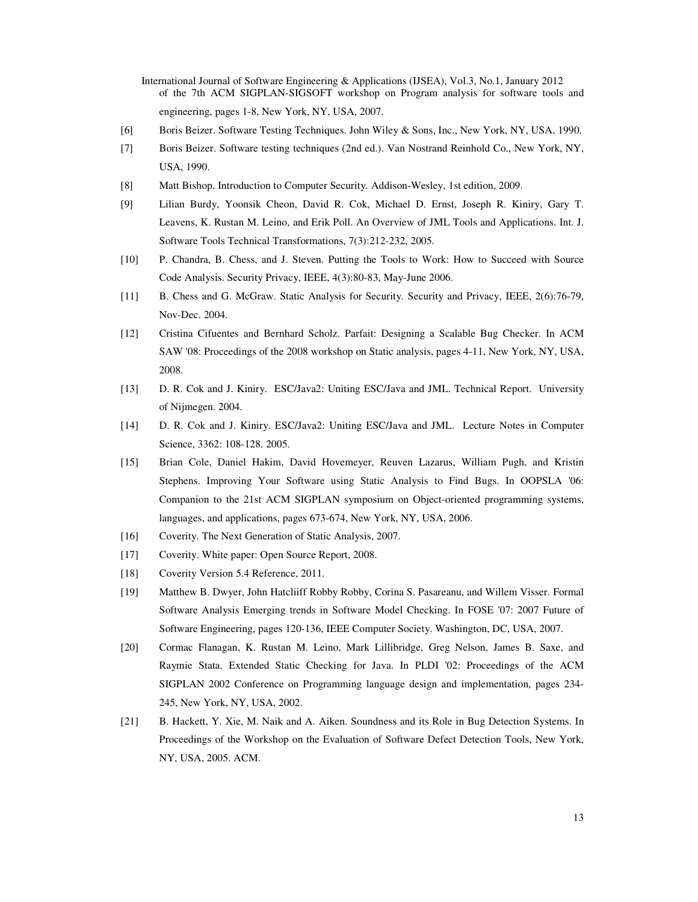- International Journal of Software Engineering & Applications (IJSEA), Vol.3, No.1, January 2012 of the 7th ACM SIGPLAN-SIGSOFT workshop on Program analysis for software tools and engineering, pages 1-8, New York, NY, USA, 2007.
- [6] Boris Beizer. Software Testing Techniques. John Wiley & Sons, Inc., New York, NY, USA, 1990.
- [7] Boris Beizer. Software testing techniques (2nd ed.). Van Nostrand Reinhold Co., New York, NY, USA, 1990.
- [8] Matt Bishop. Introduction to Computer Security. Addison-Wesley, 1st edition, 2009.
- [9] Lilian Burdy, Yoonsik Cheon, David R. Cok, Michael D. Ernst, Joseph R. Kiniry, Gary T. Leavens, K. Rustan M. Leino, and Erik Poll. An Overview of JML Tools and Applications. Int. J. Software Tools Technical Transformations, 7(3):212-232, 2005.
- [10] P. Chandra, B. Chess, and J. Steven. Putting the Tools to Work: How to Succeed with Source Code Analysis. Security Privacy, IEEE, 4(3):80-83, May-June 2006.
- [11] B. Chess and G. McGraw. Static Analysis for Security. Security and Privacy, IEEE, 2(6):76-79, Nov-Dec. 2004.
- [12] Cristina Cifuentes and Bernhard Scholz. Parfait: Designing a Scalable Bug Checker. In ACM SAW '08: Proceedings of the 2008 workshop on Static analysis, pages 4-11, New York, NY, USA, 2008.
- [13] D. R. Cok and J. Kiniry. ESC/Java2: Uniting ESC/Java and JML. Technical Report. University of Nijmegen. 2004.
- [14] D. R. Cok and J. Kiniry. ESC/Java2: Uniting ESC/Java and JML. Lecture Notes in Computer Science, 3362: 108-128. 2005.
- [15] Brian Cole, Daniel Hakim, David Hovemeyer, Reuven Lazarus, William Pugh, and Kristin Stephens. Improving Your Software using Static Analysis to Find Bugs. In OOPSLA '06: Companion to the 21st ACM SIGPLAN symposium on Object-oriented programming systems, languages, and applications, pages 673-674, New York, NY, USA, 2006.
- [16] Coverity. The Next Generation of Static Analysis, 2007.
- [17] Coverity. White paper: Open Source Report, 2008.
- [18] Coverity Version 5.4 Reference, 2011.
- [19] Matthew B. Dwyer, John Hatcliiff Robby Robby, Corina S. Pasareanu, and Willem Visser. Formal Software Analysis Emerging trends in Software Model Checking. In FOSE '07: 2007 Future of Software Engineering, pages 120-136, IEEE Computer Society. Washington, DC, USA, 2007.
- [20] Cormac Flanagan, K. Rustan M. Leino, Mark Lillibridge, Greg Nelson, James B. Saxe, and Raymie Stata. Extended Static Checking for Java. In PLDI '02: Proceedings of the ACM SIGPLAN 2002 Conference on Programming language design and implementation, pages 234- 245, New York, NY, USA, 2002.
- [21] B. Hackett, Y. Xie, M. Naik and A. Aiken. Soundness and its Role in Bug Detection Systems. In Proceedings of the Workshop on the Evaluation of Software Defect Detection Tools, New York, NY, USA, 2005. ACM.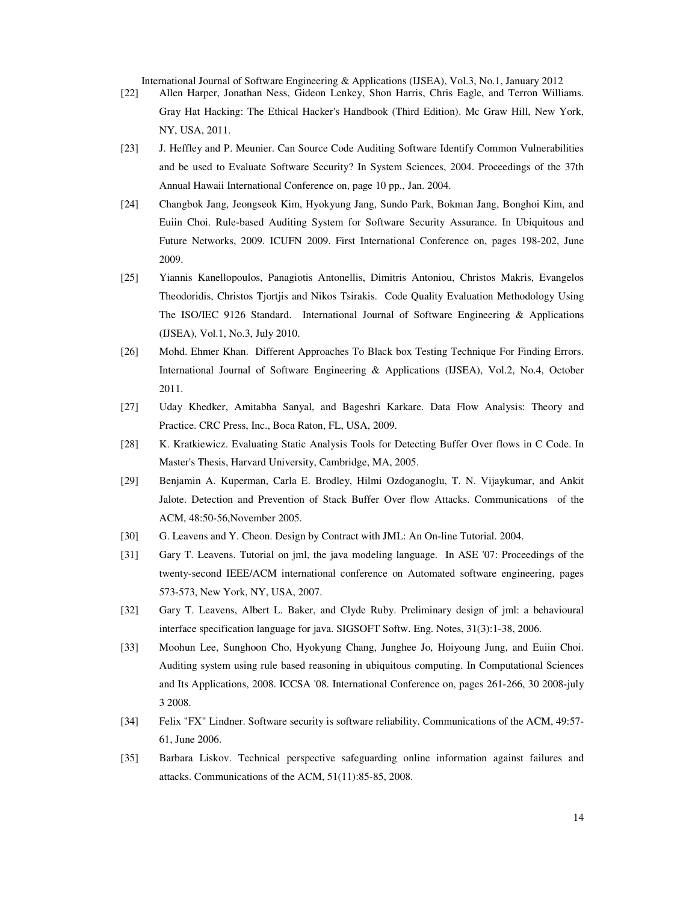- [22] Allen Harper, Jonathan Ness, Gideon Lenkey, Shon Harris, Chris Eagle, and Terron Williams. Gray Hat Hacking: The Ethical Hacker's Handbook (Third Edition). Mc Graw Hill, New York, NY, USA, 2011.
- [23] J. Heffley and P. Meunier. Can Source Code Auditing Software Identify Common Vulnerabilities and be used to Evaluate Software Security? In System Sciences, 2004. Proceedings of the 37th Annual Hawaii International Conference on, page 10 pp., Jan. 2004.
- [24] Changbok Jang, Jeongseok Kim, Hyokyung Jang, Sundo Park, Bokman Jang, Bonghoi Kim, and Euiin Choi. Rule-based Auditing System for Software Security Assurance. In Ubiquitous and Future Networks, 2009. ICUFN 2009. First International Conference on, pages 198-202, June 2009.
- [25] Yiannis Kanellopoulos, Panagiotis Antonellis, Dimitris Antoniou, Christos Makris, Evangelos Theodoridis, Christos Tjortjis and Nikos Tsirakis. Code Quality Evaluation Methodology Using The ISO/IEC 9126 Standard. International Journal of Software Engineering & Applications (IJSEA), Vol.1, No.3, July 2010.
- [26] Mohd. Ehmer Khan. Different Approaches To Black box Testing Technique For Finding Errors. International Journal of Software Engineering & Applications (IJSEA), Vol.2, No.4, October 2011.
- [27] Uday Khedker, Amitabha Sanyal, and Bageshri Karkare. Data Flow Analysis: Theory and Practice. CRC Press, Inc., Boca Raton, FL, USA, 2009.
- [28] K. Kratkiewicz. Evaluating Static Analysis Tools for Detecting Buffer Over flows in C Code. In Master's Thesis, Harvard University, Cambridge, MA, 2005.
- [29] Benjamin A. Kuperman, Carla E. Brodley, Hilmi Ozdoganoglu, T. N. Vijaykumar, and Ankit Jalote. Detection and Prevention of Stack Buffer Over flow Attacks. Communications of the ACM, 48:50-56,November 2005.
- [30] G. Leavens and Y. Cheon. Design by Contract with JML: An On-line Tutorial. 2004.
- [31] Gary T. Leavens. Tutorial on jml, the java modeling language. In ASE '07: Proceedings of the twenty-second IEEE/ACM international conference on Automated software engineering, pages 573-573, New York, NY, USA, 2007.
- [32] Gary T. Leavens, Albert L. Baker, and Clyde Ruby. Preliminary design of jml: a behavioural interface specification language for java. SIGSOFT Softw. Eng. Notes, 31(3):1-38, 2006.
- [33] Moohun Lee, Sunghoon Cho, Hyokyung Chang, Junghee Jo, Hoiyoung Jung, and Euiin Choi. Auditing system using rule based reasoning in ubiquitous computing. In Computational Sciences and Its Applications, 2008. ICCSA '08. International Conference on, pages 261-266, 30 2008-july 3 2008.
- [34] Felix "FX" Lindner. Software security is software reliability. Communications of the ACM, 49:57- 61, June 2006.
- [35] Barbara Liskov. Technical perspective safeguarding online information against failures and attacks. Communications of the ACM, 51(11):85-85, 2008.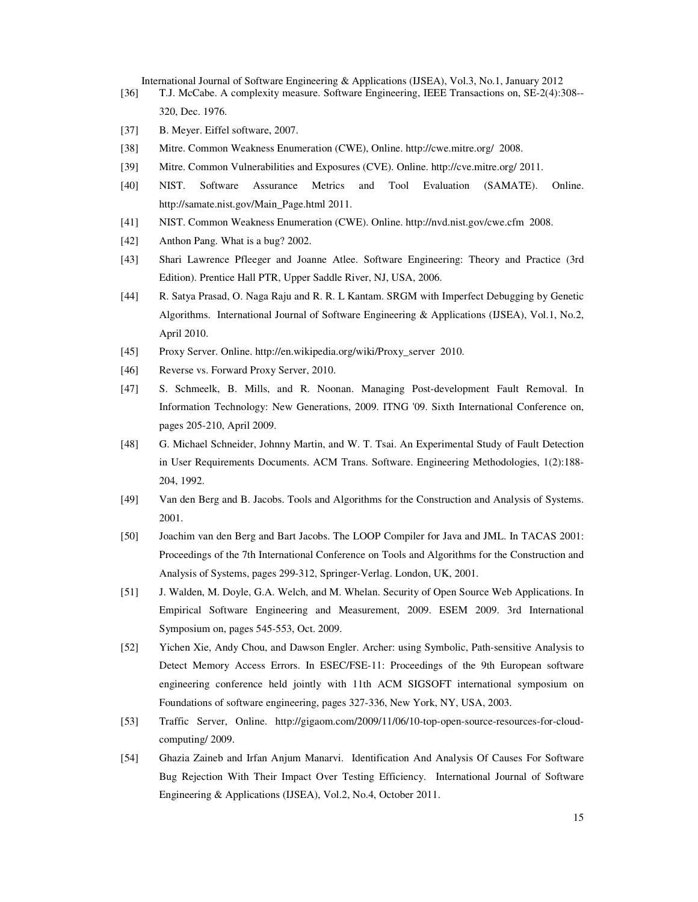- [36] T.J. McCabe. A complexity measure. Software Engineering, IEEE Transactions on, SE-2(4):308-- 320, Dec. 1976.
- [37] B. Meyer. Eiffel software, 2007.
- [38] Mitre. Common Weakness Enumeration (CWE), Online. http://cwe.mitre.org/ 2008.
- [39] Mitre. Common Vulnerabilities and Exposures (CVE). Online. http://cve.mitre.org/ 2011.
- [40] NIST. Software Assurance Metrics and Tool Evaluation (SAMATE). Online. http://samate.nist.gov/Main\_Page.html 2011.
- [41] NIST. Common Weakness Enumeration (CWE). Online. http://nvd.nist.gov/cwe.cfm 2008.
- [42] Anthon Pang. What is a bug? 2002.
- [43] Shari Lawrence Pfleeger and Joanne Atlee. Software Engineering: Theory and Practice (3rd Edition). Prentice Hall PTR, Upper Saddle River, NJ, USA, 2006.
- [44] R. Satya Prasad, O. Naga Raju and R. R. L Kantam. SRGM with Imperfect Debugging by Genetic Algorithms. International Journal of Software Engineering & Applications (IJSEA), Vol.1, No.2, April 2010.
- [45] Proxy Server. Online. http://en.wikipedia.org/wiki/Proxy\_server 2010.
- [46] Reverse vs. Forward Proxy Server, 2010.
- [47] S. Schmeelk, B. Mills, and R. Noonan. Managing Post-development Fault Removal. In Information Technology: New Generations, 2009. ITNG '09. Sixth International Conference on, pages 205-210, April 2009.
- [48] G. Michael Schneider, Johnny Martin, and W. T. Tsai. An Experimental Study of Fault Detection in User Requirements Documents. ACM Trans. Software. Engineering Methodologies, 1(2):188- 204, 1992.
- [49] Van den Berg and B. Jacobs. Tools and Algorithms for the Construction and Analysis of Systems. 2001.
- [50] Joachim van den Berg and Bart Jacobs. The LOOP Compiler for Java and JML. In TACAS 2001: Proceedings of the 7th International Conference on Tools and Algorithms for the Construction and Analysis of Systems, pages 299-312, Springer-Verlag. London, UK, 2001.
- [51] J. Walden, M. Doyle, G.A. Welch, and M. Whelan. Security of Open Source Web Applications. In Empirical Software Engineering and Measurement, 2009. ESEM 2009. 3rd International Symposium on, pages 545-553, Oct. 2009.
- [52] Yichen Xie, Andy Chou, and Dawson Engler. Archer: using Symbolic, Path-sensitive Analysis to Detect Memory Access Errors. In ESEC/FSE-11: Proceedings of the 9th European software engineering conference held jointly with 11th ACM SIGSOFT international symposium on Foundations of software engineering, pages 327-336, New York, NY, USA, 2003.
- [53] Traffic Server, Online. http://gigaom.com/2009/11/06/10-top-open-source-resources-for-cloudcomputing/ 2009.
- [54] Ghazia Zaineb and Irfan Anjum Manarvi. Identification And Analysis Of Causes For Software Bug Rejection With Their Impact Over Testing Efficiency. International Journal of Software Engineering & Applications (IJSEA), Vol.2, No.4, October 2011.